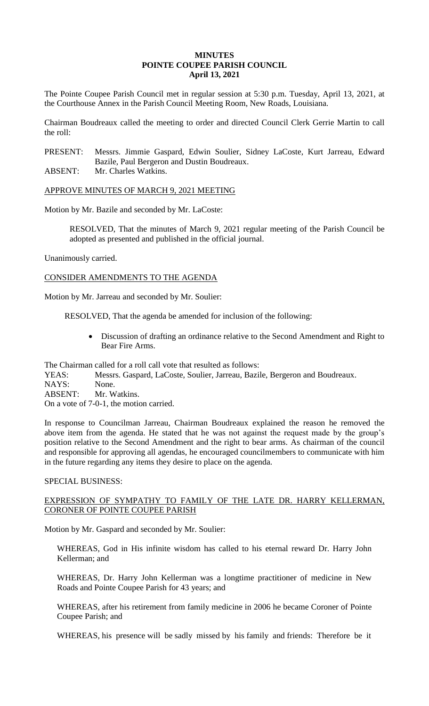## **MINUTES POINTE COUPEE PARISH COUNCIL April 13, 2021**

The Pointe Coupee Parish Council met in regular session at 5:30 p.m. Tuesday, April 13, 2021, at the Courthouse Annex in the Parish Council Meeting Room, New Roads, Louisiana.

Chairman Boudreaux called the meeting to order and directed Council Clerk Gerrie Martin to call the roll:

PRESENT: Messrs. Jimmie Gaspard, Edwin Soulier, Sidney LaCoste, Kurt Jarreau, Edward Bazile, Paul Bergeron and Dustin Boudreaux.

ABSENT: Mr. Charles Watkins.

APPROVE MINUTES OF MARCH 9, 2021 MEETING

Motion by Mr. Bazile and seconded by Mr. LaCoste:

RESOLVED, That the minutes of March 9, 2021 regular meeting of the Parish Council be adopted as presented and published in the official journal.

Unanimously carried.

CONSIDER AMENDMENTS TO THE AGENDA

Motion by Mr. Jarreau and seconded by Mr. Soulier:

RESOLVED, That the agenda be amended for inclusion of the following:

 Discussion of drafting an ordinance relative to the Second Amendment and Right to Bear Fire Arms.

The Chairman called for a roll call vote that resulted as follows:

- YEAS: Messrs. Gaspard, LaCoste, Soulier, Jarreau, Bazile, Bergeron and Boudreaux.
- NAYS: None.
- ABSENT: Mr. Watkins.

On a vote of 7-0-1, the motion carried.

In response to Councilman Jarreau, Chairman Boudreaux explained the reason he removed the above item from the agenda. He stated that he was not against the request made by the group's position relative to the Second Amendment and the right to bear arms. As chairman of the council and responsible for approving all agendas, he encouraged councilmembers to communicate with him in the future regarding any items they desire to place on the agenda.

#### SPECIAL BUSINESS:

# EXPRESSION OF SYMPATHY TO FAMILY OF THE LATE DR. HARRY KELLERMAN, CORONER OF POINTE COUPEE PARISH

Motion by Mr. Gaspard and seconded by Mr. Soulier:

WHEREAS, God in His infinite wisdom has called to his eternal reward Dr. Harry John Kellerman; and

WHEREAS, Dr. Harry John Kellerman was a longtime practitioner of medicine in New Roads and Pointe Coupee Parish for 43 years; and

WHEREAS, after his retirement from family medicine in 2006 he became Coroner of Pointe Coupee Parish; and

WHEREAS, his presence will be sadly missed by his family and friends: Therefore be it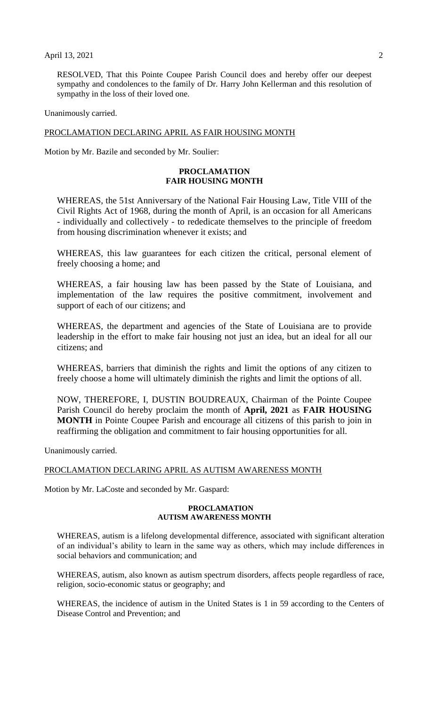RESOLVED, That this Pointe Coupee Parish Council does and hereby offer our deepest sympathy and condolences to the family of Dr. Harry John Kellerman and this resolution of sympathy in the loss of their loved one.

Unanimously carried.

#### PROCLAMATION DECLARING APRIL AS FAIR HOUSING MONTH

Motion by Mr. Bazile and seconded by Mr. Soulier:

#### **PROCLAMATION FAIR HOUSING MONTH**

WHEREAS, the 51st Anniversary of the National Fair Housing Law, Title VIII of the Civil Rights Act of 1968, during the month of April, is an occasion for all Americans - individually and collectively - to rededicate themselves to the principle of freedom from housing discrimination whenever it exists; and

WHEREAS, this law guarantees for each citizen the critical, personal element of freely choosing a home; and

WHEREAS, a fair housing law has been passed by the State of Louisiana, and implementation of the law requires the positive commitment, involvement and support of each of our citizens; and

WHEREAS, the department and agencies of the State of Louisiana are to provide leadership in the effort to make fair housing not just an idea, but an ideal for all our citizens; and

WHEREAS, barriers that diminish the rights and limit the options of any citizen to freely choose a home will ultimately diminish the rights and limit the options of all.

NOW, THEREFORE, I, DUSTIN BOUDREAUX, Chairman of the Pointe Coupee Parish Council do hereby proclaim the month of **April, 2021** as **FAIR HOUSING MONTH** in Pointe Coupee Parish and encourage all citizens of this parish to join in reaffirming the obligation and commitment to fair housing opportunities for all.

Unanimously carried.

#### PROCLAMATION DECLARING APRIL AS AUTISM AWARENESS MONTH

Motion by Mr. LaCoste and seconded by Mr. Gaspard:

#### **PROCLAMATION AUTISM AWARENESS MONTH**

WHEREAS, autism is a lifelong developmental difference, associated with significant alteration of an individual's ability to learn in the same way as others, which may include differences in social behaviors and communication; and

WHEREAS, autism, also known as autism spectrum disorders, affects people regardless of race, religion, socio-economic status or geography; and

WHEREAS, the incidence of autism in the United States is 1 in 59 according to the Centers of Disease Control and Prevention; and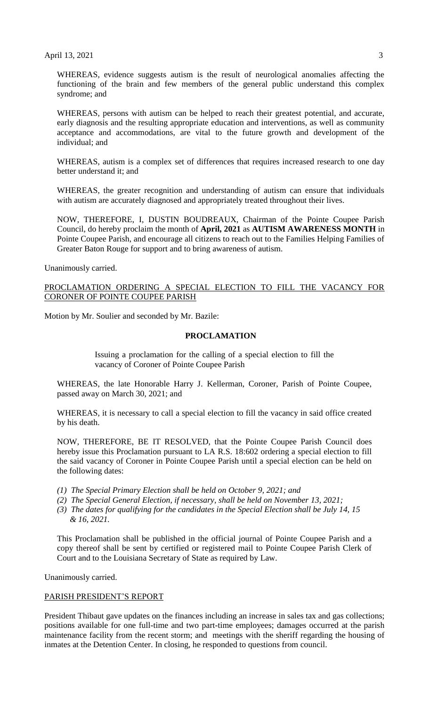April 13, 2021 3

WHEREAS, evidence suggests autism is the result of neurological anomalies affecting the functioning of the brain and few members of the general public understand this complex syndrome; and

WHEREAS, persons with autism can be helped to reach their greatest potential, and accurate, early diagnosis and the resulting appropriate education and interventions, as well as community acceptance and accommodations, are vital to the future growth and development of the individual; and

WHEREAS, autism is a complex set of differences that requires increased research to one day better understand it; and

WHEREAS, the greater recognition and understanding of autism can ensure that individuals with autism are accurately diagnosed and appropriately treated throughout their lives.

NOW, THEREFORE, I, DUSTIN BOUDREAUX, Chairman of the Pointe Coupee Parish Council, do hereby proclaim the month of **April, 2021** as **AUTISM AWARENESS MONTH** in Pointe Coupee Parish, and encourage all citizens to reach out to the Families Helping Families of Greater Baton Rouge for support and to bring awareness of autism.

Unanimously carried.

PROCLAMATION ORDERING A SPECIAL ELECTION TO FILL THE VACANCY FOR CORONER OF POINTE COUPEE PARISH

Motion by Mr. Soulier and seconded by Mr. Bazile:

#### **PROCLAMATION**

Issuing a proclamation for the calling of a special election to fill the vacancy of Coroner of Pointe Coupee Parish

WHEREAS, the late Honorable Harry J. Kellerman, Coroner, Parish of Pointe Coupee, passed away on March 30, 2021; and

WHEREAS, it is necessary to call a special election to fill the vacancy in said office created by his death.

NOW, THEREFORE, BE IT RESOLVED, that the Pointe Coupee Parish Council does hereby issue this Proclamation pursuant to LA R.S. 18:602 ordering a special election to fill the said vacancy of Coroner in Pointe Coupee Parish until a special election can be held on the following dates:

- *(1) The Special Primary Election shall be held on October 9, 2021; and*
- *(2) The Special General Election, if necessary, shall be held on November 13, 2021;*
- *(3) The dates for qualifying for the candidates in the Special Election shall be July 14, 15 & 16, 2021.*

This Proclamation shall be published in the official journal of Pointe Coupee Parish and a copy thereof shall be sent by certified or registered mail to Pointe Coupee Parish Clerk of Court and to the Louisiana Secretary of State as required by Law.

Unanimously carried.

#### PARISH PRESIDENT'S REPORT

President Thibaut gave updates on the finances including an increase in sales tax and gas collections; positions available for one full-time and two part-time employees; damages occurred at the parish maintenance facility from the recent storm; and meetings with the sheriff regarding the housing of inmates at the Detention Center. In closing, he responded to questions from council.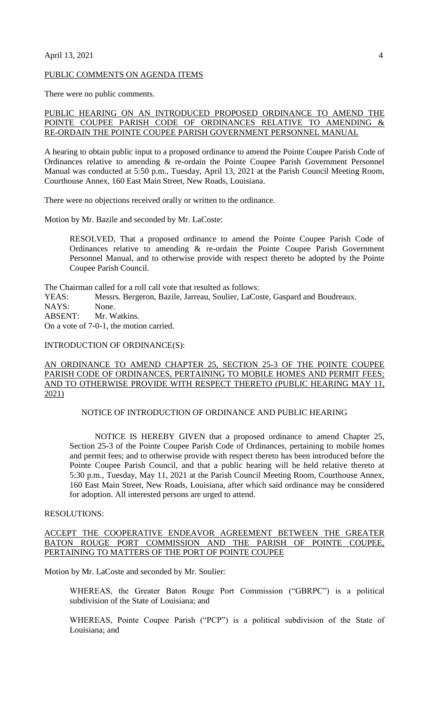#### April 13, 2021 4

#### PUBLIC COMMENTS ON AGENDA ITEMS

There were no public comments.

# PUBLIC HEARING ON AN INTRODUCED PROPOSED ORDINANCE TO AMEND THE POINTE COUPEE PARISH CODE OF ORDINANCES RELATIVE TO AMENDING & RE-ORDAIN THE POINTE COUPEE PARISH GOVERNMENT PERSONNEL MANUAL

A hearing to obtain public input to a proposed ordinance to amend the Pointe Coupee Parish Code of Ordinances relative to amending & re-ordain the Pointe Coupee Parish Government Personnel Manual was conducted at 5:50 p.m., Tuesday, April 13, 2021 at the Parish Council Meeting Room, Courthouse Annex, 160 East Main Street, New Roads, Louisiana.

There were no objections received orally or written to the ordinance.

Motion by Mr. Bazile and seconded by Mr. LaCoste:

RESOLVED, That a proposed ordinance to amend the Pointe Coupee Parish Code of Ordinances relative to amending & re-ordain the Pointe Coupee Parish Government Personnel Manual, and to otherwise provide with respect thereto be adopted by the Pointe Coupee Parish Council.

The Chairman called for a roll call vote that resulted as follows:<br>YEAS: Messrs. Bergeron, Bazile, Jarreau, Soulier, LaCo

Messrs. Bergeron, Bazile, Jarreau, Soulier, LaCoste, Gaspard and Boudreaux.

NAYS: None.

ABSENT: Mr. Watkins.

On a vote of 7-0-1, the motion carried.

## INTRODUCTION OF ORDINANCE(S):

## AN ORDINANCE TO AMEND CHAPTER 25, SECTION 25-3 OF THE POINTE COUPEE PARISH CODE OF ORDINANCES, PERTAINING TO MOBILE HOMES AND PERMIT FEES; AND TO OTHERWISE PROVIDE WITH RESPECT THERETO (PUBLIC HEARING MAY 11, 2021)

## NOTICE OF INTRODUCTION OF ORDINANCE AND PUBLIC HEARING

NOTICE IS HEREBY GIVEN that a proposed ordinance to amend Chapter 25, Section 25-3 of the Pointe Coupee Parish Code of Ordinances, pertaining to mobile homes and permit fees; and to otherwise provide with respect thereto has been introduced before the Pointe Coupee Parish Council, and that a public hearing will be held relative thereto at 5:30 p.m., Tuesday, May 11, 2021 at the Parish Council Meeting Room, Courthouse Annex, 160 East Main Street, New Roads, Louisiana, after which said ordinance may be considered for adoption. All interested persons are urged to attend.

# RESOLUTIONS:

#### ACCEPT THE COOPERATIVE ENDEAVOR AGREEMENT BETWEEN THE GREATER BATON ROUGE PORT COMMISSION AND THE PARISH OF POINTE COUPEE, PERTAINING TO MATTERS OF THE PORT OF POINTE COUPEE

Motion by Mr. LaCoste and seconded by Mr. Soulier:

WHEREAS, the Greater Baton Rouge Port Commission ("GBRPC") is a political subdivision of the State of Louisiana; and

WHEREAS, Pointe Coupee Parish ("PCP") is a political subdivision of the State of Louisiana; and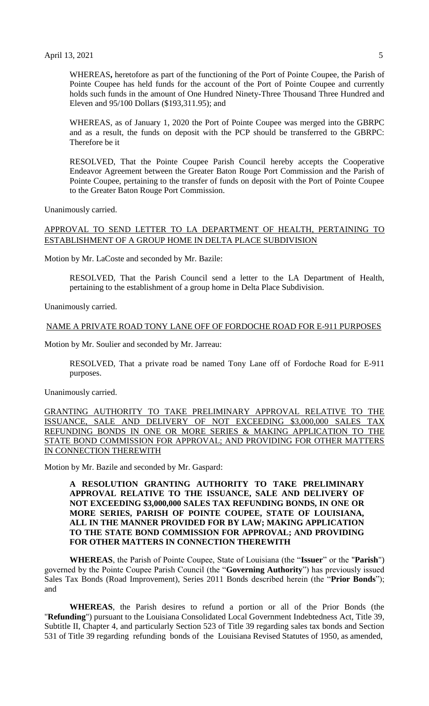WHEREAS**,** heretofore as part of the functioning of the Port of Pointe Coupee, the Parish of Pointe Coupee has held funds for the account of the Port of Pointe Coupee and currently holds such funds in the amount of One Hundred Ninety-Three Thousand Three Hundred and Eleven and 95/100 Dollars (\$193,311.95); and

WHEREAS, as of January 1, 2020 the Port of Pointe Coupee was merged into the GBRPC and as a result, the funds on deposit with the PCP should be transferred to the GBRPC: Therefore be it

RESOLVED, That the Pointe Coupee Parish Council hereby accepts the Cooperative Endeavor Agreement between the Greater Baton Rouge Port Commission and the Parish of Pointe Coupee, pertaining to the transfer of funds on deposit with the Port of Pointe Coupee to the Greater Baton Rouge Port Commission.

Unanimously carried.

# APPROVAL TO SEND LETTER TO LA DEPARTMENT OF HEALTH, PERTAINING TO ESTABLISHMENT OF A GROUP HOME IN DELTA PLACE SUBDIVISION

Motion by Mr. LaCoste and seconded by Mr. Bazile:

RESOLVED, That the Parish Council send a letter to the LA Department of Health, pertaining to the establishment of a group home in Delta Place Subdivision.

Unanimously carried.

#### NAME A PRIVATE ROAD TONY LANE OFF OF FORDOCHE ROAD FOR E-911 PURPOSES

Motion by Mr. Soulier and seconded by Mr. Jarreau:

RESOLVED, That a private road be named Tony Lane off of Fordoche Road for E-911 purposes.

Unanimously carried.

GRANTING AUTHORITY TO TAKE PRELIMINARY APPROVAL RELATIVE TO THE ISSUANCE, SALE AND DELIVERY OF NOT EXCEEDING \$3,000,000 SALES TAX REFUNDING BONDS IN ONE OR MORE SERIES & MAKING APPLICATION TO THE STATE BOND COMMISSION FOR APPROVAL; AND PROVIDING FOR OTHER MATTERS IN CONNECTION THEREWITH

Motion by Mr. Bazile and seconded by Mr. Gaspard:

## **A RESOLUTION GRANTING AUTHORITY TO TAKE PRELIMINARY APPROVAL RELATIVE TO THE ISSUANCE, SALE AND DELIVERY OF NOT EXCEEDING \$3,000,000 SALES TAX REFUNDING BONDS, IN ONE OR MORE SERIES, PARISH OF POINTE COUPEE, STATE OF LOUISIANA, ALL IN THE MANNER PROVIDED FOR BY LAW; MAKING APPLICATION TO THE STATE BOND COMMISSION FOR APPROVAL; AND PROVIDING FOR OTHER MATTERS IN CONNECTION THEREWITH**

**WHEREAS**, the Parish of Pointe Coupee, State of Louisiana (the "**Issuer**" or the "**Parish**") governed by the Pointe Coupee Parish Council (the "**Governing Authority**") has previously issued Sales Tax Bonds (Road Improvement), Series 2011 Bonds described herein (the "**Prior Bonds**"); and

**WHEREAS**, the Parish desires to refund a portion or all of the Prior Bonds (the "**Refunding**") pursuant to the Louisiana Consolidated Local Government Indebtedness Act, Title 39, Subtitle II, Chapter 4, and particularly Section 523 of Title 39 regarding sales tax bonds and Section 531 of Title 39 regarding refunding bonds of the Louisiana Revised Statutes of 1950, as amended,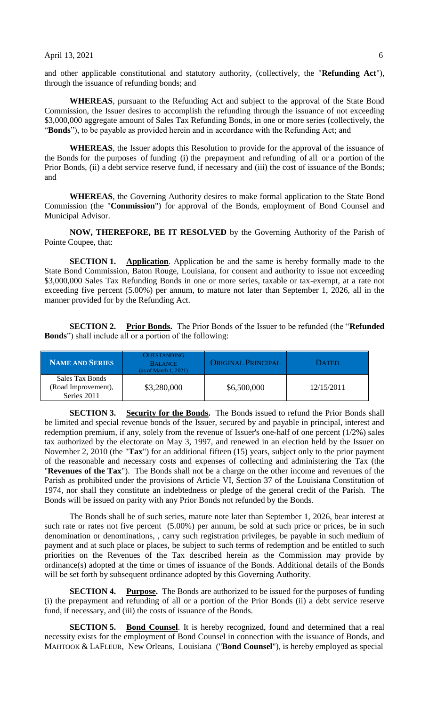and other applicable constitutional and statutory authority, (collectively, the "**Refunding Act**"), through the issuance of refunding bonds; and

**WHEREAS**, pursuant to the Refunding Act and subject to the approval of the State Bond Commission, the Issuer desires to accomplish the refunding through the issuance of not exceeding \$3,000,000 aggregate amount of Sales Tax Refunding Bonds, in one or more series (collectively, the "**Bonds**"), to be payable as provided herein and in accordance with the Refunding Act; and

**WHEREAS**, the Issuer adopts this Resolution to provide for the approval of the issuance of the Bonds for the purposes of funding (i) the prepayment and refunding of all or a portion of the Prior Bonds, (ii) a debt service reserve fund, if necessary and (iii) the cost of issuance of the Bonds; and

**WHEREAS**, the Governing Authority desires to make formal application to the State Bond Commission (the "**Commission**") for approval of the Bonds, employment of Bond Counsel and Municipal Advisor.

**NOW, THEREFORE, BE IT RESOLVED** by the Governing Authority of the Parish of Pointe Coupee, that:

**SECTION 1. Application**. Application be and the same is hereby formally made to the State Bond Commission, Baton Rouge, Louisiana, for consent and authority to issue not exceeding \$3,000,000 Sales Tax Refunding Bonds in one or more series, taxable or tax-exempt, at a rate not exceeding five percent (5.00%) per annum, to mature not later than September 1, 2026, all in the manner provided for by the Refunding Act.

**SECTION 2.** Prior Bonds. The Prior Bonds of the Issuer to be refunded (the "Refunded **Bonds**") shall include all or a portion of the following:

| <b>NAME AND SERIES</b>                                | OUTSTANDING<br><b>BALANCE</b><br>(as of March $1, 2021$ ) | <b>ORIGINAL PRINCIPAL</b> | <b>DATED</b> |
|-------------------------------------------------------|-----------------------------------------------------------|---------------------------|--------------|
| Sales Tax Bonds<br>(Road Improvement),<br>Series 2011 | \$3,280,000                                               | \$6,500,000               | 12/15/2011   |

**SECTION 3.** Security for the Bonds. The Bonds issued to refund the Prior Bonds shall be limited and special revenue bonds of the Issuer, secured by and payable in principal, interest and redemption premium, if any, solely from the revenue of Issuer's one-half of one percent (1/2%) sales tax authorized by the electorate on May 3, 1997, and renewed in an election held by the Issuer on November 2, 2010 (the "**Tax**") for an additional fifteen (15) years, subject only to the prior payment of the reasonable and necessary costs and expenses of collecting and administering the Tax (the "**Revenues of the Tax**"). The Bonds shall not be a charge on the other income and revenues of the Parish as prohibited under the provisions of Article VI, Section 37 of the Louisiana Constitution of 1974, nor shall they constitute an indebtedness or pledge of the general credit of the Parish. The Bonds will be issued on parity with any Prior Bonds not refunded by the Bonds.

The Bonds shall be of such series, mature note later than September 1, 2026, bear interest at such rate or rates not five percent (5.00%) per annum, be sold at such price or prices, be in such denomination or denominations, , carry such registration privileges, be payable in such medium of payment and at such place or places, be subject to such terms of redemption and be entitled to such priorities on the Revenues of the Tax described herein as the Commission may provide by ordinance(s) adopted at the time or times of issuance of the Bonds. Additional details of the Bonds will be set forth by subsequent ordinance adopted by this Governing Authority.

**SECTION 4. Purpose.** The Bonds are authorized to be issued for the purposes of funding (i) the prepayment and refunding of all or a portion of the Prior Bonds (ii) a debt service reserve fund, if necessary, and (iii) the costs of issuance of the Bonds.

**SECTION 5. Bond Counsel**. It is hereby recognized, found and determined that a real necessity exists for the employment of Bond Counsel in connection with the issuance of Bonds, and MAHTOOK & LAFLEUR, New Orleans, Louisiana ("**Bond Counsel**"), is hereby employed as special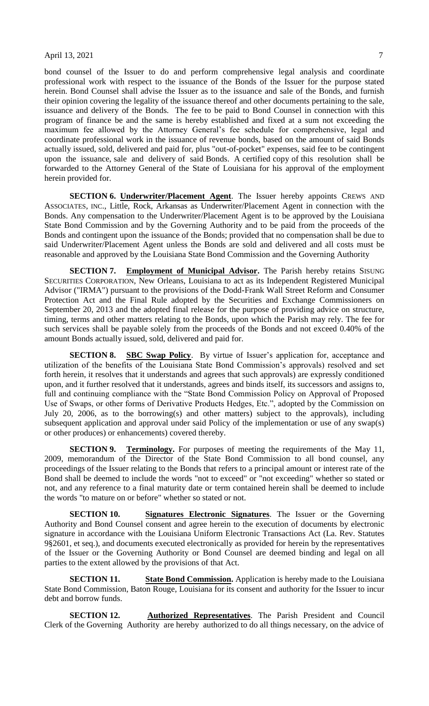bond counsel of the Issuer to do and perform comprehensive legal analysis and coordinate professional work with respect to the issuance of the Bonds of the Issuer for the purpose stated herein. Bond Counsel shall advise the Issuer as to the issuance and sale of the Bonds, and furnish their opinion covering the legality of the issuance thereof and other documents pertaining to the sale, issuance and delivery of the Bonds. The fee to be paid to Bond Counsel in connection with this program of finance be and the same is hereby established and fixed at a sum not exceeding the maximum fee allowed by the Attorney General's fee schedule for comprehensive, legal and coordinate professional work in the issuance of revenue bonds, based on the amount of said Bonds actually issued, sold, delivered and paid for, plus "out-of-pocket" expenses, said fee to be contingent upon the issuance, sale and delivery of said Bonds. A certified copy of this resolution shall be forwarded to the Attorney General of the State of Louisiana for his approval of the employment herein provided for.

**SECTION 6. Underwriter/Placement Agent**. The Issuer hereby appoints CREWS AND ASSOCIATES, INC., Little, Rock, Arkansas as Underwriter/Placement Agent in connection with the Bonds. Any compensation to the Underwriter/Placement Agent is to be approved by the Louisiana State Bond Commission and by the Governing Authority and to be paid from the proceeds of the Bonds and contingent upon the issuance of the Bonds; provided that no compensation shall be due to said Underwriter/Placement Agent unless the Bonds are sold and delivered and all costs must be reasonable and approved by the Louisiana State Bond Commission and the Governing Authority

**SECTION 7.** Employment of Municipal Advisor. The Parish hereby retains SISUNG SECURITIES CORPORATION, New Orleans, Louisiana to act as its Independent Registered Municipal Advisor ("IRMA") pursuant to the provisions of the Dodd-Frank Wall Street Reform and Consumer Protection Act and the Final Rule adopted by the Securities and Exchange Commissioners on September 20, 2013 and the adopted final release for the purpose of providing advice on structure, timing, terms and other matters relating to the Bonds, upon which the Parish may rely. The fee for such services shall be payable solely from the proceeds of the Bonds and not exceed 0.40% of the amount Bonds actually issued, sold, delivered and paid for.

**SECTION 8. SBC Swap Policy**. By virtue of Issuer's application for, acceptance and utilization of the benefits of the Louisiana State Bond Commission's approvals) resolved and set forth herein, it resolves that it understands and agrees that such approvals) are expressly conditioned upon, and it further resolved that it understands, agrees and binds itself, its successors and assigns to, full and continuing compliance with the "State Bond Commission Policy on Approval of Proposed Use of Swaps, or other forms of Derivative Products Hedges, Etc.", adopted by the Commission on July 20, 2006, as to the borrowing(s) and other matters) subject to the approvals), including subsequent application and approval under said Policy of the implementation or use of any swap(s) or other produces) or enhancements) covered thereby.

**SECTION 9. Terminology.** For purposes of meeting the requirements of the May 11, 2009, memorandum of the Director of the State Bond Commission to all bond counsel, any proceedings of the Issuer relating to the Bonds that refers to a principal amount or interest rate of the Bond shall be deemed to include the words "not to exceed" or "not exceeding" whether so stated or not, and any reference to a final maturity date or term contained herein shall be deemed to include the words "to mature on or before" whether so stated or not.

**SECTION 10. Signatures Electronic Signatures**. The Issuer or the Governing Authority and Bond Counsel consent and agree herein to the execution of documents by electronic signature in accordance with the Louisiana Uniform Electronic Transactions Act (La. Rev. Statutes 9§2601, et seq.), and documents executed electronically as provided for herein by the representatives of the Issuer or the Governing Authority or Bond Counsel are deemed binding and legal on all parties to the extent allowed by the provisions of that Act.

**SECTION 11. State Bond Commission.** Application is hereby made to the Louisiana State Bond Commission, Baton Rouge, Louisiana for its consent and authority for the Issuer to incur debt and borrow funds.

**SECTION 12. Authorized Representatives**. The Parish President and Council Clerk of the Governing Authority are hereby authorized to do all things necessary, on the advice of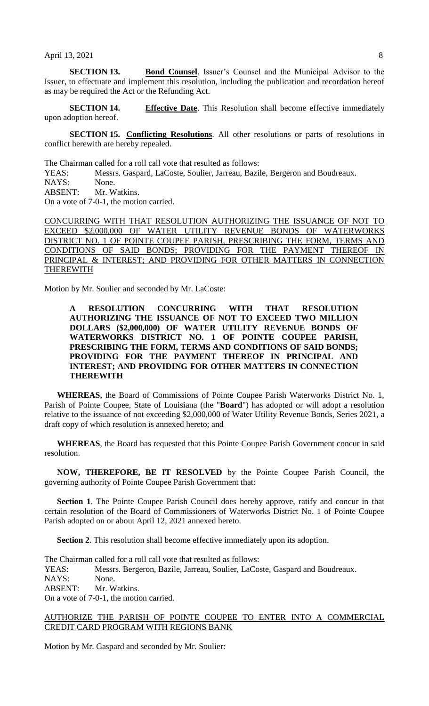**SECTION 13. Bond Counsel**. Issuer's Counsel and the Municipal Advisor to the Issuer, to effectuate and implement this resolution, including the publication and recordation hereof as may be required the Act or the Refunding Act.

**SECTION 14. Effective Date**. This Resolution shall become effective immediately upon adoption hereof.

**SECTION 15. Conflicting Resolutions**. All other resolutions or parts of resolutions in conflict herewith are hereby repealed.

The Chairman called for a roll call vote that resulted as follows:

YEAS: Messrs. Gaspard, LaCoste, Soulier, Jarreau, Bazile, Bergeron and Boudreaux.

NAYS: None.

ABSENT: Mr. Watkins. On a vote of 7-0-1, the motion carried.

CONCURRING WITH THAT RESOLUTION AUTHORIZING THE ISSUANCE OF NOT TO EXCEED \$2,000,000 OF WATER UTILITY REVENUE BONDS OF WATERWORKS DISTRICT NO. 1 OF POINTE COUPEE PARISH, PRESCRIBING THE FORM, TERMS AND CONDITIONS OF SAID BONDS; PROVIDING FOR THE PAYMENT THEREOF IN PRINCIPAL & INTEREST; AND PROVIDING FOR OTHER MATTERS IN CONNECTION THEREWITH

Motion by Mr. Soulier and seconded by Mr. LaCoste:

# **A RESOLUTION CONCURRING WITH THAT RESOLUTION AUTHORIZING THE ISSUANCE OF NOT TO EXCEED TWO MILLION DOLLARS (\$2,000,000) OF WATER UTILITY REVENUE BONDS OF WATERWORKS DISTRICT NO. 1 OF POINTE COUPEE PARISH, PRESCRIBING THE FORM, TERMS AND CONDITIONS OF SAID BONDS; PROVIDING FOR THE PAYMENT THEREOF IN PRINCIPAL AND INTEREST; AND PROVIDING FOR OTHER MATTERS IN CONNECTION THEREWITH**

**WHEREAS**, the Board of Commissions of Pointe Coupee Parish Waterworks District No. 1, Parish of Pointe Coupee, State of Louisiana (the "**Board**") has adopted or will adopt a resolution relative to the issuance of not exceeding \$2,000,000 of Water Utility Revenue Bonds, Series 2021, a draft copy of which resolution is annexed hereto; and

**WHEREAS**, the Board has requested that this Pointe Coupee Parish Government concur in said resolution.

**NOW, THEREFORE, BE IT RESOLVED** by the Pointe Coupee Parish Council, the governing authority of Pointe Coupee Parish Government that:

**Section 1**. The Pointe Coupee Parish Council does hereby approve, ratify and concur in that certain resolution of the Board of Commissioners of Waterworks District No. 1 of Pointe Coupee Parish adopted on or about April 12, 2021 annexed hereto.

**Section 2**. This resolution shall become effective immediately upon its adoption.

The Chairman called for a roll call vote that resulted as follows:

YEAS: Messrs. Bergeron, Bazile, Jarreau, Soulier, LaCoste, Gaspard and Boudreaux.

NAYS: None.

ABSENT: Mr. Watkins.

On a vote of 7-0-1, the motion carried.

## AUTHORIZE THE PARISH OF POINTE COUPEE TO ENTER INTO A COMMERCIAL CREDIT CARD PROGRAM WITH REGIONS BANK

Motion by Mr. Gaspard and seconded by Mr. Soulier: